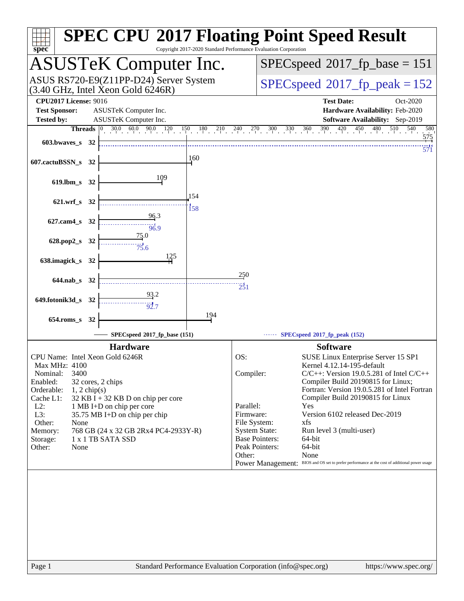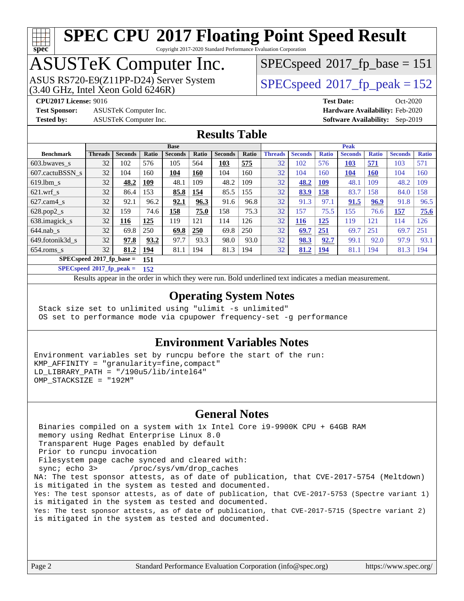

Copyright 2017-2020 Standard Performance Evaluation Corporation

## ASUSTeK Computer Inc.

 $(3.40 \text{ GHz}, \text{Intel } \hat{\text{X}}$ con Gold 6246R) ASUS RS720-E9(Z11PP-D24) Server System  $SPEC speed@2017$  fp\_peak = 152

[SPECspeed](http://www.spec.org/auto/cpu2017/Docs/result-fields.html#SPECspeed2017fpbase)<sup>®</sup>2017 fp base = 151

**[Test Sponsor:](http://www.spec.org/auto/cpu2017/Docs/result-fields.html#TestSponsor)** ASUSTeK Computer Inc. **[Hardware Availability:](http://www.spec.org/auto/cpu2017/Docs/result-fields.html#HardwareAvailability)** Feb-2020

**[CPU2017 License:](http://www.spec.org/auto/cpu2017/Docs/result-fields.html#CPU2017License)** 9016 **[Test Date:](http://www.spec.org/auto/cpu2017/Docs/result-fields.html#TestDate)** Oct-2020 **[Tested by:](http://www.spec.org/auto/cpu2017/Docs/result-fields.html#Testedby)** ASUSTeK Computer Inc. **[Software Availability:](http://www.spec.org/auto/cpu2017/Docs/result-fields.html#SoftwareAvailability)** Sep-2019

### **[Results Table](http://www.spec.org/auto/cpu2017/Docs/result-fields.html#ResultsTable)**

|                                 | <b>Base</b>    |                |       |                |       | <b>Peak</b>    |       |                |                |              |                |              |                |              |
|---------------------------------|----------------|----------------|-------|----------------|-------|----------------|-------|----------------|----------------|--------------|----------------|--------------|----------------|--------------|
| <b>Benchmark</b>                | <b>Threads</b> | <b>Seconds</b> | Ratio | <b>Seconds</b> | Ratio | <b>Seconds</b> | Ratio | <b>Threads</b> | <b>Seconds</b> | <b>Ratio</b> | <b>Seconds</b> | <b>Ratio</b> | <b>Seconds</b> | <b>Ratio</b> |
| 603.bwayes s                    | 32             | 102            | 576   | 105            | 564   | 103            | 575   | 32             | 102            | 576          | 103            | 571          | 103            | 571          |
| 607.cactuBSSN s                 | 32             | 104            | 160   | 104            | 160   | 104            | 160   | 32             | 104            | 160          | <b>104</b>     | 160          | 104            | 160          |
| $619.$ lbm s                    | 32             | 48.2           | 109   | 48.1           | 109   | 48.2           | 109   | 32             | 48.2           | <b>109</b>   | 48.1           | 109          | 48.2           | 109          |
| $621.wrf$ s                     | 32             | 86.4           | 153   | 85.8           | 154   | 85.5           | 155   | 32             | 83.9           | 158          | 83.7           | 158          | 84.0           | 158          |
| $627$ .cam $4$ <sub>s</sub>     | 32             | 92.1           | 96.2  | 92.1           | 96.3  | 91.6           | 96.8  | 32             | 91.3           | 97.1         | 91.5           | 96.9         | 91.8           | 96.5         |
| $628.pop2_s$                    | 32             | 159            | 74.6  | 158            | 75.0  | 158            | 75.3  | 32             | 157            | 75.5         | 155            | 76.6         | 157            | 75.6         |
| 638.imagick_s                   | 32             | 116            | 125   | 119            | 121   | 114            | 126   | 32             | <b>116</b>     | 125          | 119            | 121          | 114            | 126          |
| $644$ .nab s                    | 32             | 69.8           | 250   | 69.8           | 250   | 69.8           | 250   | 32             | 69.7           | 251          | 69.7           | 251          | 69.7           | 251          |
| 649.fotonik3d s                 | 32             | 97.8           | 93.2  | 97.7           | 93.3  | 98.0           | 93.0  | 32             | 98.3           | 92.7         | 99.1           | 92.0         | 97.9           | 93.1         |
| $654$ .roms s                   | 32             | 81.2           | 194   | 81.1           | 194   | 81.3           | 194   | 32             | 81.2           | 194          | 81.1           | 194          | 81.3           | 194          |
| SPECspeed®2017_fp_base =<br>151 |                |                |       |                |       |                |       |                |                |              |                |              |                |              |

**[SPECspeed](http://www.spec.org/auto/cpu2017/Docs/result-fields.html#SPECspeed2017fppeak)[2017\\_fp\\_peak =](http://www.spec.org/auto/cpu2017/Docs/result-fields.html#SPECspeed2017fppeak) 152**

Results appear in the [order in which they were run.](http://www.spec.org/auto/cpu2017/Docs/result-fields.html#RunOrder) Bold underlined text [indicates a median measurement](http://www.spec.org/auto/cpu2017/Docs/result-fields.html#Median).

### **[Operating System Notes](http://www.spec.org/auto/cpu2017/Docs/result-fields.html#OperatingSystemNotes)**

 Stack size set to unlimited using "ulimit -s unlimited" OS set to performance mode via cpupower frequency-set -g performance

### **[Environment Variables Notes](http://www.spec.org/auto/cpu2017/Docs/result-fields.html#EnvironmentVariablesNotes)**

Environment variables set by runcpu before the start of the run: KMP\_AFFINITY = "granularity=fine,compact" LD LIBRARY PATH =  $\sqrt{190u5/lib/intel64}$ " OMP\_STACKSIZE = "192M"

### **[General Notes](http://www.spec.org/auto/cpu2017/Docs/result-fields.html#GeneralNotes)**

 Binaries compiled on a system with 1x Intel Core i9-9900K CPU + 64GB RAM memory using Redhat Enterprise Linux 8.0 Transparent Huge Pages enabled by default Prior to runcpu invocation Filesystem page cache synced and cleared with: sync; echo 3> /proc/sys/vm/drop\_caches NA: The test sponsor attests, as of date of publication, that CVE-2017-5754 (Meltdown) is mitigated in the system as tested and documented. Yes: The test sponsor attests, as of date of publication, that CVE-2017-5753 (Spectre variant 1) is mitigated in the system as tested and documented. Yes: The test sponsor attests, as of date of publication, that CVE-2017-5715 (Spectre variant 2) is mitigated in the system as tested and documented.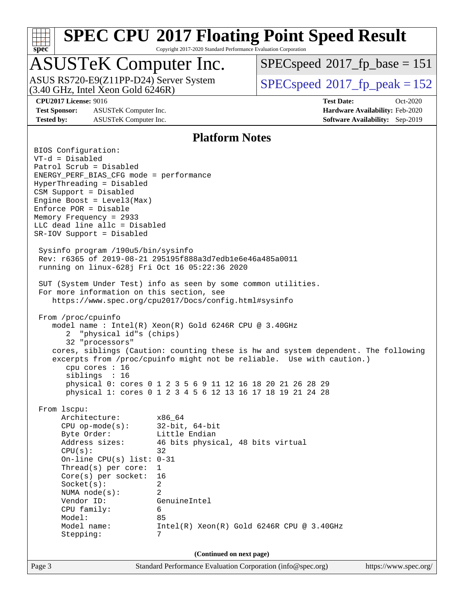

Copyright 2017-2020 Standard Performance Evaluation Corporation

## ASUSTeK Computer Inc.

ASUS RS720-E9(Z11PP-D24) Server System<br>(3.40 GHz, Intel Xeon Gold 6246R)

[SPECspeed](http://www.spec.org/auto/cpu2017/Docs/result-fields.html#SPECspeed2017fpbase)<sup>®</sup>2017 fp base = 151

[SPECspeed](http://www.spec.org/auto/cpu2017/Docs/result-fields.html#SPECspeed2017fppeak)<sup>®</sup>2017 fp peak = 152

**[Test Sponsor:](http://www.spec.org/auto/cpu2017/Docs/result-fields.html#TestSponsor)** ASUSTeK Computer Inc. **[Hardware Availability:](http://www.spec.org/auto/cpu2017/Docs/result-fields.html#HardwareAvailability)** Feb-2020 **[Tested by:](http://www.spec.org/auto/cpu2017/Docs/result-fields.html#Testedby)** ASUSTeK Computer Inc. **[Software Availability:](http://www.spec.org/auto/cpu2017/Docs/result-fields.html#SoftwareAvailability)** Sep-2019

**[CPU2017 License:](http://www.spec.org/auto/cpu2017/Docs/result-fields.html#CPU2017License)** 9016 **[Test Date:](http://www.spec.org/auto/cpu2017/Docs/result-fields.html#TestDate)** Oct-2020

### **[Platform Notes](http://www.spec.org/auto/cpu2017/Docs/result-fields.html#PlatformNotes)**

Page 3 Standard Performance Evaluation Corporation [\(info@spec.org\)](mailto:info@spec.org) <https://www.spec.org/> BIOS Configuration: VT-d = Disabled Patrol Scrub = Disabled ENERGY\_PERF\_BIAS\_CFG mode = performance HyperThreading = Disabled CSM Support = Disabled Engine Boost = Level3(Max) Enforce POR = Disable Memory Frequency = 2933 LLC dead line allc = Disabled SR-IOV Support = Disabled Sysinfo program /190u5/bin/sysinfo Rev: r6365 of 2019-08-21 295195f888a3d7edb1e6e46a485a0011 running on linux-628j Fri Oct 16 05:22:36 2020 SUT (System Under Test) info as seen by some common utilities. For more information on this section, see <https://www.spec.org/cpu2017/Docs/config.html#sysinfo> From /proc/cpuinfo model name : Intel(R) Xeon(R) Gold 6246R CPU @ 3.40GHz 2 "physical id"s (chips) 32 "processors" cores, siblings (Caution: counting these is hw and system dependent. The following excerpts from /proc/cpuinfo might not be reliable. Use with caution.) cpu cores : 16 siblings : 16 physical 0: cores 0 1 2 3 5 6 9 11 12 16 18 20 21 26 28 29 physical 1: cores 0 1 2 3 4 5 6 12 13 16 17 18 19 21 24 28 From lscpu: Architecture: x86\_64 CPU op-mode(s): 32-bit, 64-bit Byte Order: Little Endian Address sizes: 46 bits physical, 48 bits virtual  $CPU(s):$  32 On-line CPU(s) list: 0-31 Thread(s) per core: 1 Core(s) per socket: 16 Socket(s): 2 NUMA node(s): 2 Vendor ID: GenuineIntel CPU family: 6 Model: 85 Model name: Intel(R) Xeon(R) Gold 6246R CPU @ 3.40GHz Stepping: 7 **(Continued on next page)**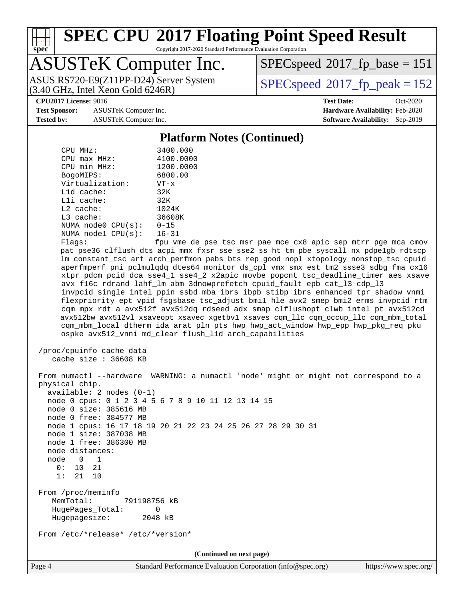

Copyright 2017-2020 Standard Performance Evaluation Corporation

## ASUSTeK Computer Inc.

 $(3.40 \text{ GHz}, \text{Intel } \hat{\text{X}}$ con Gold 6246R) ASUS RS720-E9(Z11PP-D24) Server System  $SPEC speed@2017$  fp\_peak = 152

[SPECspeed](http://www.spec.org/auto/cpu2017/Docs/result-fields.html#SPECspeed2017fpbase)<sup>®</sup>2017 fp base = 151

**[Test Sponsor:](http://www.spec.org/auto/cpu2017/Docs/result-fields.html#TestSponsor)** ASUSTeK Computer Inc. **[Hardware Availability:](http://www.spec.org/auto/cpu2017/Docs/result-fields.html#HardwareAvailability)** Feb-2020 **[Tested by:](http://www.spec.org/auto/cpu2017/Docs/result-fields.html#Testedby)** ASUSTeK Computer Inc. **[Software Availability:](http://www.spec.org/auto/cpu2017/Docs/result-fields.html#SoftwareAvailability)** Sep-2019

**[CPU2017 License:](http://www.spec.org/auto/cpu2017/Docs/result-fields.html#CPU2017License)** 9016 **[Test Date:](http://www.spec.org/auto/cpu2017/Docs/result-fields.html#TestDate)** Oct-2020

### **[Platform Notes \(Continued\)](http://www.spec.org/auto/cpu2017/Docs/result-fields.html#PlatformNotes)**

| CPU MHz:                   | 3400.000      |
|----------------------------|---------------|
| $CPIJ$ max $MHz$ :         | 4100.0000     |
| CPU min MHz:               | 1200.0000     |
| BogoMIPS:                  | 6800.00       |
| Virtualization:            | $VT - x$      |
| $L1d$ cache:               | 32K           |
| $L1i$ cache:               | 32K           |
| $L2$ cache:                | 1024K         |
| $L3$ cache:                | 36608K        |
| NUMA node0 CPU(s):         | $0 - 15$      |
| NUMA nodel $CPU(s): 16-31$ |               |
| --                         | $\sim$ $\sim$ |

Flags: fpu vme de pse tsc msr pae mce cx8 apic sep mtrr pge mca cmov pat pse36 clflush dts acpi mmx fxsr sse sse2 ss ht tm pbe syscall nx pdpe1gb rdtscp lm constant\_tsc art arch\_perfmon pebs bts rep\_good nopl xtopology nonstop\_tsc cpuid aperfmperf pni pclmulqdq dtes64 monitor ds\_cpl vmx smx est tm2 ssse3 sdbg fma cx16 xtpr pdcm pcid dca sse4\_1 sse4\_2 x2apic movbe popcnt tsc\_deadline\_timer aes xsave avx f16c rdrand lahf\_lm abm 3dnowprefetch cpuid\_fault epb cat\_l3 cdp\_l3 invpcid\_single intel\_ppin ssbd mba ibrs ibpb stibp ibrs\_enhanced tpr\_shadow vnmi flexpriority ept vpid fsgsbase tsc\_adjust bmi1 hle avx2 smep bmi2 erms invpcid rtm cqm mpx rdt\_a avx512f avx512dq rdseed adx smap clflushopt clwb intel\_pt avx512cd avx512bw avx512vl xsaveopt xsavec xgetbv1 xsaves cqm\_llc cqm\_occup\_llc cqm\_mbm\_total cqm\_mbm\_local dtherm ida arat pln pts hwp hwp\_act\_window hwp\_epp hwp\_pkg\_req pku ospke avx512\_vnni md\_clear flush\_l1d arch\_capabilities

```
 /proc/cpuinfo cache data
   cache size : 36608 KB
```
 From numactl --hardware WARNING: a numactl 'node' might or might not correspond to a physical chip. available: 2 nodes (0-1) node 0 cpus: 0 1 2 3 4 5 6 7 8 9 10 11 12 13 14 15 node 0 size: 385616 MB node 0 free: 384577 MB node 1 cpus: 16 17 18 19 20 21 22 23 24 25 26 27 28 29 30 31 node 1 size: 387038 MB node 1 free: 386300 MB node distances: node 0 1 0: 10 21 1: 21 10 From /proc/meminfo MemTotal: 791198756 kB HugePages\_Total: 0 Hugepagesize: 2048 kB From /etc/\*release\* /etc/\*version\* **(Continued on next page)**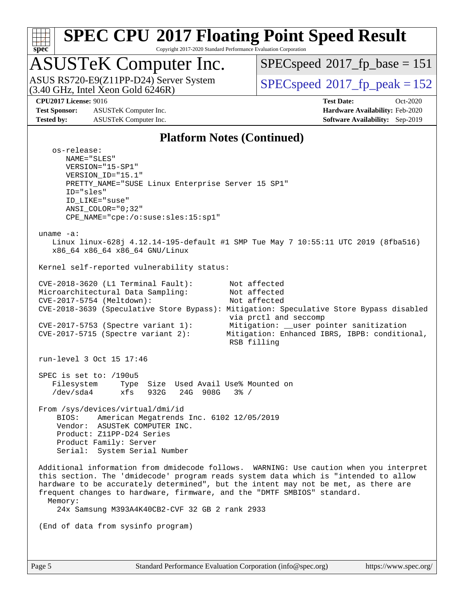

Copyright 2017-2020 Standard Performance Evaluation Corporation

## ASUSTeK Computer Inc.

 $(3.40 \text{ GHz}, \text{Intel } \hat{\text{X}}$ con Gold 6246R) ASUS RS720-E9(Z11PP-D24) Server System  $SBEC speed@2017$  fp\_peak = 152

[SPECspeed](http://www.spec.org/auto/cpu2017/Docs/result-fields.html#SPECspeed2017fpbase)<sup>®</sup>2017 fp base = 151

**[Test Sponsor:](http://www.spec.org/auto/cpu2017/Docs/result-fields.html#TestSponsor)** ASUSTeK Computer Inc. **[Hardware Availability:](http://www.spec.org/auto/cpu2017/Docs/result-fields.html#HardwareAvailability)** Feb-2020 **[Tested by:](http://www.spec.org/auto/cpu2017/Docs/result-fields.html#Testedby)** ASUSTeK Computer Inc. **[Software Availability:](http://www.spec.org/auto/cpu2017/Docs/result-fields.html#SoftwareAvailability)** Sep-2019

**[CPU2017 License:](http://www.spec.org/auto/cpu2017/Docs/result-fields.html#CPU2017License)** 9016 **[Test Date:](http://www.spec.org/auto/cpu2017/Docs/result-fields.html#TestDate)** Oct-2020

### **[Platform Notes \(Continued\)](http://www.spec.org/auto/cpu2017/Docs/result-fields.html#PlatformNotes)**

 os-release: NAME="SLES" VERSION="15-SP1" VERSION\_ID="15.1" PRETTY\_NAME="SUSE Linux Enterprise Server 15 SP1" ID="sles" ID\_LIKE="suse" ANSI\_COLOR="0;32" CPE\_NAME="cpe:/o:suse:sles:15:sp1" uname -a: Linux linux-628j 4.12.14-195-default #1 SMP Tue May 7 10:55:11 UTC 2019 (8fba516) x86\_64 x86\_64 x86\_64 GNU/Linux Kernel self-reported vulnerability status: CVE-2018-3620 (L1 Terminal Fault): Not affected Microarchitectural Data Sampling: Not affected CVE-2017-5754 (Meltdown): Not affected CVE-2018-3639 (Speculative Store Bypass): Mitigation: Speculative Store Bypass disabled via prctl and seccomp CVE-2017-5753 (Spectre variant 1): Mitigation: \_\_user pointer sanitization CVE-2017-5715 (Spectre variant 2): Mitigation: Enhanced IBRS, IBPB: conditional, RSB filling run-level 3 Oct 15 17:46 SPEC is set to: /190u5 Filesystem Type Size Used Avail Use% Mounted on /dev/sda4 xfs 932G 24G 908G 3% / From /sys/devices/virtual/dmi/id BIOS: American Megatrends Inc. 6102 12/05/2019 Vendor: ASUSTeK COMPUTER INC. Product: Z11PP-D24 Series Product Family: Server Serial: System Serial Number Additional information from dmidecode follows. WARNING: Use caution when you interpret this section. The 'dmidecode' program reads system data which is "intended to allow hardware to be accurately determined", but the intent may not be met, as there are frequent changes to hardware, firmware, and the "DMTF SMBIOS" standard. Memory: 24x Samsung M393A4K40CB2-CVF 32 GB 2 rank 2933 (End of data from sysinfo program)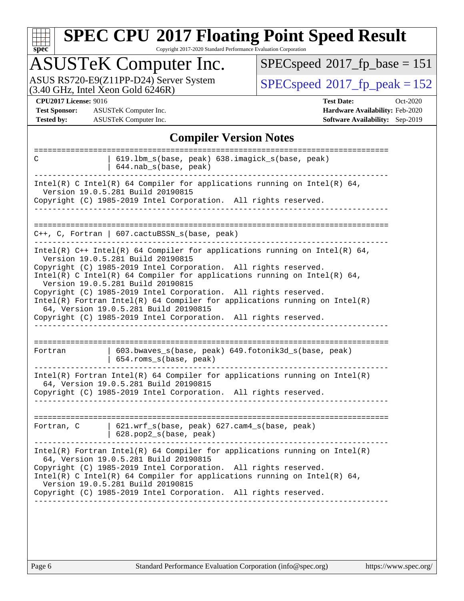| u | Q | е | û |  |
|---|---|---|---|--|

Copyright 2017-2020 Standard Performance Evaluation Corporation

## ASUSTeK Computer Inc.

ASUS RS720-E9(Z11PP-D24) Server System  $(3.40 \text{ GHz}, \text{ Intel Xeon Gold } 6246\text{R})$   $\big| \text{ SPECspeed}^{\circ}2017 \text{_f}_\text{peak} = 152 \big|$  $\big| \text{ SPECspeed}^{\circ}2017 \text{_f}_\text{peak} = 152 \big|$  $\big| \text{ SPECspeed}^{\circ}2017 \text{_f}_\text{peak} = 152 \big|$ 

 $SPECspeed^{\circledast}2017_fp\_base = 151$  $SPECspeed^{\circledast}2017_fp\_base = 151$ 

**[Test Sponsor:](http://www.spec.org/auto/cpu2017/Docs/result-fields.html#TestSponsor)** ASUSTeK Computer Inc. **[Hardware Availability:](http://www.spec.org/auto/cpu2017/Docs/result-fields.html#HardwareAvailability)** Feb-2020 **[Tested by:](http://www.spec.org/auto/cpu2017/Docs/result-fields.html#Testedby)** ASUSTeK Computer Inc. **[Software Availability:](http://www.spec.org/auto/cpu2017/Docs/result-fields.html#SoftwareAvailability)** Sep-2019

**[CPU2017 License:](http://www.spec.org/auto/cpu2017/Docs/result-fields.html#CPU2017License)** 9016 **[Test Date:](http://www.spec.org/auto/cpu2017/Docs/result-fields.html#TestDate)** Oct-2020

### **[Compiler Version Notes](http://www.spec.org/auto/cpu2017/Docs/result-fields.html#CompilerVersionNotes)**

| C                                                                            | 619.1bm_s(base, peak) 638.imagick_s(base, peak)                                                                                                                                  |  |  |  |
|------------------------------------------------------------------------------|----------------------------------------------------------------------------------------------------------------------------------------------------------------------------------|--|--|--|
|                                                                              | 644.nab_s(base, peak)                                                                                                                                                            |  |  |  |
|                                                                              | Intel(R) C Intel(R) 64 Compiler for applications running on Intel(R) 64,<br>Version 19.0.5.281 Build 20190815<br>Copyright (C) 1985-2019 Intel Corporation. All rights reserved. |  |  |  |
|                                                                              |                                                                                                                                                                                  |  |  |  |
|                                                                              |                                                                                                                                                                                  |  |  |  |
|                                                                              | C++, C, Fortran   607.cactuBSSN s(base, peak)                                                                                                                                    |  |  |  |
|                                                                              | Intel(R) $C++$ Intel(R) 64 Compiler for applications running on Intel(R) 64,<br>Version 19.0.5.281 Build 20190815                                                                |  |  |  |
|                                                                              | Copyright (C) 1985-2019 Intel Corporation. All rights reserved.<br>Intel(R) C Intel(R) 64 Compiler for applications running on Intel(R) 64,<br>Version 19.0.5.281 Build 20190815 |  |  |  |
|                                                                              | Copyright (C) 1985-2019 Intel Corporation. All rights reserved.                                                                                                                  |  |  |  |
| $Intel(R)$ Fortran Intel(R) 64 Compiler for applications running on Intel(R) |                                                                                                                                                                                  |  |  |  |
|                                                                              | 64, Version 19.0.5.281 Build 20190815<br>Copyright (C) 1985-2019 Intel Corporation. All rights reserved.                                                                         |  |  |  |
|                                                                              |                                                                                                                                                                                  |  |  |  |
|                                                                              |                                                                                                                                                                                  |  |  |  |
| Fortran                                                                      | 603.bwaves_s(base, peak) 649.fotonik3d_s(base, peak)<br>654.roms_s(base, peak)                                                                                                   |  |  |  |
|                                                                              | Intel(R) Fortran Intel(R) 64 Compiler for applications running on Intel(R)<br>64, Version 19.0.5.281 Build 20190815                                                              |  |  |  |
|                                                                              | Copyright (C) 1985-2019 Intel Corporation. All rights reserved.                                                                                                                  |  |  |  |
|                                                                              |                                                                                                                                                                                  |  |  |  |
| Fortran, C                                                                   | $621.wrf_s(base, peak)$ $627.cam4_s(base, peak)$<br>628.pop2_s(base, peak)                                                                                                       |  |  |  |
|                                                                              |                                                                                                                                                                                  |  |  |  |
|                                                                              | $Intel(R)$ Fortran Intel(R) 64 Compiler for applications running on Intel(R)<br>64, Version 19.0.5.281 Build 20190815                                                            |  |  |  |
|                                                                              | Copyright (C) 1985-2019 Intel Corporation. All rights reserved.<br>Intel(R) C Intel(R) 64 Compiler for applications running on Intel(R) 64,<br>Version 19.0.5.281 Build 20190815 |  |  |  |
|                                                                              | Copyright (C) 1985-2019 Intel Corporation. All rights reserved.                                                                                                                  |  |  |  |
|                                                                              |                                                                                                                                                                                  |  |  |  |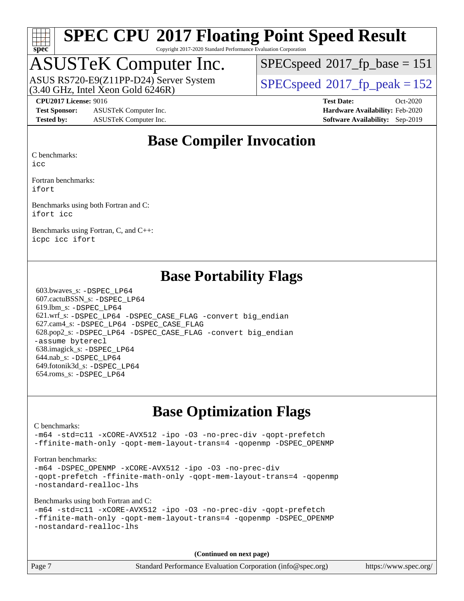

Copyright 2017-2020 Standard Performance Evaluation Corporation

## ASUSTeK Computer Inc.

 $(3.40 \text{ GHz}, \text{Intel Xeon Gold } 6246R)$ ASUS RS720-E9(Z11PP-D24) Server System  $SPEC speed@2017$  fp\_peak = 152

[SPECspeed](http://www.spec.org/auto/cpu2017/Docs/result-fields.html#SPECspeed2017fpbase)<sup>®</sup>2017 fp base = 151

**[Test Sponsor:](http://www.spec.org/auto/cpu2017/Docs/result-fields.html#TestSponsor)** ASUSTeK Computer Inc. **[Hardware Availability:](http://www.spec.org/auto/cpu2017/Docs/result-fields.html#HardwareAvailability)** Feb-2020 **[Tested by:](http://www.spec.org/auto/cpu2017/Docs/result-fields.html#Testedby)** ASUSTeK Computer Inc. **[Software Availability:](http://www.spec.org/auto/cpu2017/Docs/result-fields.html#SoftwareAvailability)** Sep-2019

**[CPU2017 License:](http://www.spec.org/auto/cpu2017/Docs/result-fields.html#CPU2017License)** 9016 **[Test Date:](http://www.spec.org/auto/cpu2017/Docs/result-fields.html#TestDate)** Oct-2020

### **[Base Compiler Invocation](http://www.spec.org/auto/cpu2017/Docs/result-fields.html#BaseCompilerInvocation)**

[C benchmarks:](http://www.spec.org/auto/cpu2017/Docs/result-fields.html#Cbenchmarks)

[icc](http://www.spec.org/cpu2017/results/res2020q4/cpu2017-20201023-24243.flags.html#user_CCbase_intel_icc_66fc1ee009f7361af1fbd72ca7dcefbb700085f36577c54f309893dd4ec40d12360134090235512931783d35fd58c0460139e722d5067c5574d8eaf2b3e37e92)

[Fortran benchmarks](http://www.spec.org/auto/cpu2017/Docs/result-fields.html#Fortranbenchmarks): [ifort](http://www.spec.org/cpu2017/results/res2020q4/cpu2017-20201023-24243.flags.html#user_FCbase_intel_ifort_8111460550e3ca792625aed983ce982f94888b8b503583aa7ba2b8303487b4d8a21a13e7191a45c5fd58ff318f48f9492884d4413fa793fd88dd292cad7027ca)

[Benchmarks using both Fortran and C:](http://www.spec.org/auto/cpu2017/Docs/result-fields.html#BenchmarksusingbothFortranandC) [ifort](http://www.spec.org/cpu2017/results/res2020q4/cpu2017-20201023-24243.flags.html#user_CC_FCbase_intel_ifort_8111460550e3ca792625aed983ce982f94888b8b503583aa7ba2b8303487b4d8a21a13e7191a45c5fd58ff318f48f9492884d4413fa793fd88dd292cad7027ca) [icc](http://www.spec.org/cpu2017/results/res2020q4/cpu2017-20201023-24243.flags.html#user_CC_FCbase_intel_icc_66fc1ee009f7361af1fbd72ca7dcefbb700085f36577c54f309893dd4ec40d12360134090235512931783d35fd58c0460139e722d5067c5574d8eaf2b3e37e92)

[Benchmarks using Fortran, C, and C++:](http://www.spec.org/auto/cpu2017/Docs/result-fields.html#BenchmarksusingFortranCandCXX) [icpc](http://www.spec.org/cpu2017/results/res2020q4/cpu2017-20201023-24243.flags.html#user_CC_CXX_FCbase_intel_icpc_c510b6838c7f56d33e37e94d029a35b4a7bccf4766a728ee175e80a419847e808290a9b78be685c44ab727ea267ec2f070ec5dc83b407c0218cded6866a35d07) [icc](http://www.spec.org/cpu2017/results/res2020q4/cpu2017-20201023-24243.flags.html#user_CC_CXX_FCbase_intel_icc_66fc1ee009f7361af1fbd72ca7dcefbb700085f36577c54f309893dd4ec40d12360134090235512931783d35fd58c0460139e722d5067c5574d8eaf2b3e37e92) [ifort](http://www.spec.org/cpu2017/results/res2020q4/cpu2017-20201023-24243.flags.html#user_CC_CXX_FCbase_intel_ifort_8111460550e3ca792625aed983ce982f94888b8b503583aa7ba2b8303487b4d8a21a13e7191a45c5fd58ff318f48f9492884d4413fa793fd88dd292cad7027ca)

### **[Base Portability Flags](http://www.spec.org/auto/cpu2017/Docs/result-fields.html#BasePortabilityFlags)**

 603.bwaves\_s: [-DSPEC\\_LP64](http://www.spec.org/cpu2017/results/res2020q4/cpu2017-20201023-24243.flags.html#suite_basePORTABILITY603_bwaves_s_DSPEC_LP64) 607.cactuBSSN\_s: [-DSPEC\\_LP64](http://www.spec.org/cpu2017/results/res2020q4/cpu2017-20201023-24243.flags.html#suite_basePORTABILITY607_cactuBSSN_s_DSPEC_LP64) 619.lbm\_s: [-DSPEC\\_LP64](http://www.spec.org/cpu2017/results/res2020q4/cpu2017-20201023-24243.flags.html#suite_basePORTABILITY619_lbm_s_DSPEC_LP64) 621.wrf\_s: [-DSPEC\\_LP64](http://www.spec.org/cpu2017/results/res2020q4/cpu2017-20201023-24243.flags.html#suite_basePORTABILITY621_wrf_s_DSPEC_LP64) [-DSPEC\\_CASE\\_FLAG](http://www.spec.org/cpu2017/results/res2020q4/cpu2017-20201023-24243.flags.html#b621.wrf_s_baseCPORTABILITY_DSPEC_CASE_FLAG) [-convert big\\_endian](http://www.spec.org/cpu2017/results/res2020q4/cpu2017-20201023-24243.flags.html#user_baseFPORTABILITY621_wrf_s_convert_big_endian_c3194028bc08c63ac5d04de18c48ce6d347e4e562e8892b8bdbdc0214820426deb8554edfa529a3fb25a586e65a3d812c835984020483e7e73212c4d31a38223) 627.cam4\_s: [-DSPEC\\_LP64](http://www.spec.org/cpu2017/results/res2020q4/cpu2017-20201023-24243.flags.html#suite_basePORTABILITY627_cam4_s_DSPEC_LP64) [-DSPEC\\_CASE\\_FLAG](http://www.spec.org/cpu2017/results/res2020q4/cpu2017-20201023-24243.flags.html#b627.cam4_s_baseCPORTABILITY_DSPEC_CASE_FLAG) 628.pop2\_s: [-DSPEC\\_LP64](http://www.spec.org/cpu2017/results/res2020q4/cpu2017-20201023-24243.flags.html#suite_basePORTABILITY628_pop2_s_DSPEC_LP64) [-DSPEC\\_CASE\\_FLAG](http://www.spec.org/cpu2017/results/res2020q4/cpu2017-20201023-24243.flags.html#b628.pop2_s_baseCPORTABILITY_DSPEC_CASE_FLAG) [-convert big\\_endian](http://www.spec.org/cpu2017/results/res2020q4/cpu2017-20201023-24243.flags.html#user_baseFPORTABILITY628_pop2_s_convert_big_endian_c3194028bc08c63ac5d04de18c48ce6d347e4e562e8892b8bdbdc0214820426deb8554edfa529a3fb25a586e65a3d812c835984020483e7e73212c4d31a38223) [-assume byterecl](http://www.spec.org/cpu2017/results/res2020q4/cpu2017-20201023-24243.flags.html#user_baseFPORTABILITY628_pop2_s_assume_byterecl_7e47d18b9513cf18525430bbf0f2177aa9bf368bc7a059c09b2c06a34b53bd3447c950d3f8d6c70e3faf3a05c8557d66a5798b567902e8849adc142926523472) 638.imagick\_s: [-DSPEC\\_LP64](http://www.spec.org/cpu2017/results/res2020q4/cpu2017-20201023-24243.flags.html#suite_basePORTABILITY638_imagick_s_DSPEC_LP64) 644.nab\_s: [-DSPEC\\_LP64](http://www.spec.org/cpu2017/results/res2020q4/cpu2017-20201023-24243.flags.html#suite_basePORTABILITY644_nab_s_DSPEC_LP64) 649.fotonik3d\_s: [-DSPEC\\_LP64](http://www.spec.org/cpu2017/results/res2020q4/cpu2017-20201023-24243.flags.html#suite_basePORTABILITY649_fotonik3d_s_DSPEC_LP64) 654.roms\_s: [-DSPEC\\_LP64](http://www.spec.org/cpu2017/results/res2020q4/cpu2017-20201023-24243.flags.html#suite_basePORTABILITY654_roms_s_DSPEC_LP64)

### **[Base Optimization Flags](http://www.spec.org/auto/cpu2017/Docs/result-fields.html#BaseOptimizationFlags)**

[C benchmarks](http://www.spec.org/auto/cpu2017/Docs/result-fields.html#Cbenchmarks):

[-m64](http://www.spec.org/cpu2017/results/res2020q4/cpu2017-20201023-24243.flags.html#user_CCbase_m64-icc) [-std=c11](http://www.spec.org/cpu2017/results/res2020q4/cpu2017-20201023-24243.flags.html#user_CCbase_std-icc-std_0e1c27790398a4642dfca32ffe6c27b5796f9c2d2676156f2e42c9c44eaad0c049b1cdb667a270c34d979996257aeb8fc440bfb01818dbc9357bd9d174cb8524) [-xCORE-AVX512](http://www.spec.org/cpu2017/results/res2020q4/cpu2017-20201023-24243.flags.html#user_CCbase_f-xCORE-AVX512) [-ipo](http://www.spec.org/cpu2017/results/res2020q4/cpu2017-20201023-24243.flags.html#user_CCbase_f-ipo) [-O3](http://www.spec.org/cpu2017/results/res2020q4/cpu2017-20201023-24243.flags.html#user_CCbase_f-O3) [-no-prec-div](http://www.spec.org/cpu2017/results/res2020q4/cpu2017-20201023-24243.flags.html#user_CCbase_f-no-prec-div) [-qopt-prefetch](http://www.spec.org/cpu2017/results/res2020q4/cpu2017-20201023-24243.flags.html#user_CCbase_f-qopt-prefetch) [-ffinite-math-only](http://www.spec.org/cpu2017/results/res2020q4/cpu2017-20201023-24243.flags.html#user_CCbase_f_finite_math_only_cb91587bd2077682c4b38af759c288ed7c732db004271a9512da14a4f8007909a5f1427ecbf1a0fb78ff2a814402c6114ac565ca162485bbcae155b5e4258871) [-qopt-mem-layout-trans=4](http://www.spec.org/cpu2017/results/res2020q4/cpu2017-20201023-24243.flags.html#user_CCbase_f-qopt-mem-layout-trans_fa39e755916c150a61361b7846f310bcdf6f04e385ef281cadf3647acec3f0ae266d1a1d22d972a7087a248fd4e6ca390a3634700869573d231a252c784941a8) [-qopenmp](http://www.spec.org/cpu2017/results/res2020q4/cpu2017-20201023-24243.flags.html#user_CCbase_qopenmp_16be0c44f24f464004c6784a7acb94aca937f053568ce72f94b139a11c7c168634a55f6653758ddd83bcf7b8463e8028bb0b48b77bcddc6b78d5d95bb1df2967) [-DSPEC\\_OPENMP](http://www.spec.org/cpu2017/results/res2020q4/cpu2017-20201023-24243.flags.html#suite_CCbase_DSPEC_OPENMP)

[Fortran benchmarks](http://www.spec.org/auto/cpu2017/Docs/result-fields.html#Fortranbenchmarks):

[-m64](http://www.spec.org/cpu2017/results/res2020q4/cpu2017-20201023-24243.flags.html#user_FCbase_m64-icc) [-DSPEC\\_OPENMP](http://www.spec.org/cpu2017/results/res2020q4/cpu2017-20201023-24243.flags.html#suite_FCbase_DSPEC_OPENMP) [-xCORE-AVX512](http://www.spec.org/cpu2017/results/res2020q4/cpu2017-20201023-24243.flags.html#user_FCbase_f-xCORE-AVX512) [-ipo](http://www.spec.org/cpu2017/results/res2020q4/cpu2017-20201023-24243.flags.html#user_FCbase_f-ipo) [-O3](http://www.spec.org/cpu2017/results/res2020q4/cpu2017-20201023-24243.flags.html#user_FCbase_f-O3) [-no-prec-div](http://www.spec.org/cpu2017/results/res2020q4/cpu2017-20201023-24243.flags.html#user_FCbase_f-no-prec-div) [-qopt-prefetch](http://www.spec.org/cpu2017/results/res2020q4/cpu2017-20201023-24243.flags.html#user_FCbase_f-qopt-prefetch) [-ffinite-math-only](http://www.spec.org/cpu2017/results/res2020q4/cpu2017-20201023-24243.flags.html#user_FCbase_f_finite_math_only_cb91587bd2077682c4b38af759c288ed7c732db004271a9512da14a4f8007909a5f1427ecbf1a0fb78ff2a814402c6114ac565ca162485bbcae155b5e4258871) [-qopt-mem-layout-trans=4](http://www.spec.org/cpu2017/results/res2020q4/cpu2017-20201023-24243.flags.html#user_FCbase_f-qopt-mem-layout-trans_fa39e755916c150a61361b7846f310bcdf6f04e385ef281cadf3647acec3f0ae266d1a1d22d972a7087a248fd4e6ca390a3634700869573d231a252c784941a8) [-qopenmp](http://www.spec.org/cpu2017/results/res2020q4/cpu2017-20201023-24243.flags.html#user_FCbase_qopenmp_16be0c44f24f464004c6784a7acb94aca937f053568ce72f94b139a11c7c168634a55f6653758ddd83bcf7b8463e8028bb0b48b77bcddc6b78d5d95bb1df2967) [-nostandard-realloc-lhs](http://www.spec.org/cpu2017/results/res2020q4/cpu2017-20201023-24243.flags.html#user_FCbase_f_2003_std_realloc_82b4557e90729c0f113870c07e44d33d6f5a304b4f63d4c15d2d0f1fab99f5daaed73bdb9275d9ae411527f28b936061aa8b9c8f2d63842963b95c9dd6426b8a)

[Benchmarks using both Fortran and C](http://www.spec.org/auto/cpu2017/Docs/result-fields.html#BenchmarksusingbothFortranandC):

```
-m64 -std=c11 -xCORE-AVX512 -ipo -O3 -no-prec-div -qopt-prefetch
-ffinite-math-only -qopt-mem-layout-trans=4 -qopenmp -DSPEC_OPENMP
-nostandard-realloc-lhs
```
**(Continued on next page)**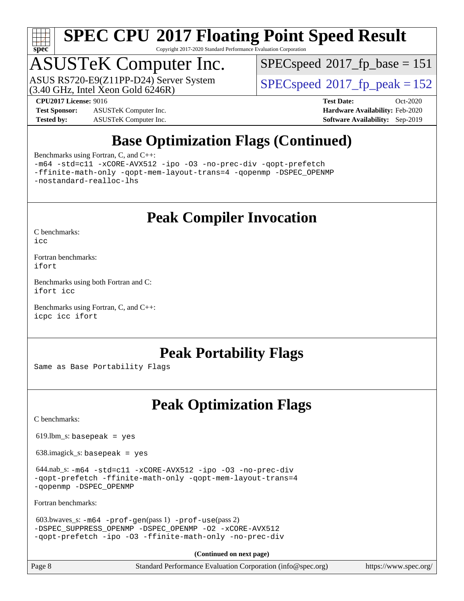

Copyright 2017-2020 Standard Performance Evaluation Corporation

## ASUSTeK Computer Inc.

 $(3.40 \text{ GHz}, \text{Intel } \hat{\text{X}}$ con Gold 6246R) ASUS RS720-E9(Z11PP-D24) Server System  $SPEC speed@2017$  fp\_peak = 152

[SPECspeed](http://www.spec.org/auto/cpu2017/Docs/result-fields.html#SPECspeed2017fpbase)<sup>®</sup>2017 fp base = 151

**[Test Sponsor:](http://www.spec.org/auto/cpu2017/Docs/result-fields.html#TestSponsor)** ASUSTeK Computer Inc. **[Hardware Availability:](http://www.spec.org/auto/cpu2017/Docs/result-fields.html#HardwareAvailability)** Feb-2020 **[Tested by:](http://www.spec.org/auto/cpu2017/Docs/result-fields.html#Testedby)** ASUSTeK Computer Inc. **[Software Availability:](http://www.spec.org/auto/cpu2017/Docs/result-fields.html#SoftwareAvailability)** Sep-2019

**[CPU2017 License:](http://www.spec.org/auto/cpu2017/Docs/result-fields.html#CPU2017License)** 9016 **[Test Date:](http://www.spec.org/auto/cpu2017/Docs/result-fields.html#TestDate)** Oct-2020

## **[Base Optimization Flags \(Continued\)](http://www.spec.org/auto/cpu2017/Docs/result-fields.html#BaseOptimizationFlags)**

[Benchmarks using Fortran, C, and C++:](http://www.spec.org/auto/cpu2017/Docs/result-fields.html#BenchmarksusingFortranCandCXX)

[-m64](http://www.spec.org/cpu2017/results/res2020q4/cpu2017-20201023-24243.flags.html#user_CC_CXX_FCbase_m64-icc) [-std=c11](http://www.spec.org/cpu2017/results/res2020q4/cpu2017-20201023-24243.flags.html#user_CC_CXX_FCbase_std-icc-std_0e1c27790398a4642dfca32ffe6c27b5796f9c2d2676156f2e42c9c44eaad0c049b1cdb667a270c34d979996257aeb8fc440bfb01818dbc9357bd9d174cb8524) [-xCORE-AVX512](http://www.spec.org/cpu2017/results/res2020q4/cpu2017-20201023-24243.flags.html#user_CC_CXX_FCbase_f-xCORE-AVX512) [-ipo](http://www.spec.org/cpu2017/results/res2020q4/cpu2017-20201023-24243.flags.html#user_CC_CXX_FCbase_f-ipo) [-O3](http://www.spec.org/cpu2017/results/res2020q4/cpu2017-20201023-24243.flags.html#user_CC_CXX_FCbase_f-O3) [-no-prec-div](http://www.spec.org/cpu2017/results/res2020q4/cpu2017-20201023-24243.flags.html#user_CC_CXX_FCbase_f-no-prec-div) [-qopt-prefetch](http://www.spec.org/cpu2017/results/res2020q4/cpu2017-20201023-24243.flags.html#user_CC_CXX_FCbase_f-qopt-prefetch) [-ffinite-math-only](http://www.spec.org/cpu2017/results/res2020q4/cpu2017-20201023-24243.flags.html#user_CC_CXX_FCbase_f_finite_math_only_cb91587bd2077682c4b38af759c288ed7c732db004271a9512da14a4f8007909a5f1427ecbf1a0fb78ff2a814402c6114ac565ca162485bbcae155b5e4258871) [-qopt-mem-layout-trans=4](http://www.spec.org/cpu2017/results/res2020q4/cpu2017-20201023-24243.flags.html#user_CC_CXX_FCbase_f-qopt-mem-layout-trans_fa39e755916c150a61361b7846f310bcdf6f04e385ef281cadf3647acec3f0ae266d1a1d22d972a7087a248fd4e6ca390a3634700869573d231a252c784941a8) [-qopenmp](http://www.spec.org/cpu2017/results/res2020q4/cpu2017-20201023-24243.flags.html#user_CC_CXX_FCbase_qopenmp_16be0c44f24f464004c6784a7acb94aca937f053568ce72f94b139a11c7c168634a55f6653758ddd83bcf7b8463e8028bb0b48b77bcddc6b78d5d95bb1df2967) [-DSPEC\\_OPENMP](http://www.spec.org/cpu2017/results/res2020q4/cpu2017-20201023-24243.flags.html#suite_CC_CXX_FCbase_DSPEC_OPENMP) [-nostandard-realloc-lhs](http://www.spec.org/cpu2017/results/res2020q4/cpu2017-20201023-24243.flags.html#user_CC_CXX_FCbase_f_2003_std_realloc_82b4557e90729c0f113870c07e44d33d6f5a304b4f63d4c15d2d0f1fab99f5daaed73bdb9275d9ae411527f28b936061aa8b9c8f2d63842963b95c9dd6426b8a)

**[Peak Compiler Invocation](http://www.spec.org/auto/cpu2017/Docs/result-fields.html#PeakCompilerInvocation)**

[C benchmarks](http://www.spec.org/auto/cpu2017/Docs/result-fields.html#Cbenchmarks):

[icc](http://www.spec.org/cpu2017/results/res2020q4/cpu2017-20201023-24243.flags.html#user_CCpeak_intel_icc_66fc1ee009f7361af1fbd72ca7dcefbb700085f36577c54f309893dd4ec40d12360134090235512931783d35fd58c0460139e722d5067c5574d8eaf2b3e37e92)

[Fortran benchmarks](http://www.spec.org/auto/cpu2017/Docs/result-fields.html#Fortranbenchmarks): [ifort](http://www.spec.org/cpu2017/results/res2020q4/cpu2017-20201023-24243.flags.html#user_FCpeak_intel_ifort_8111460550e3ca792625aed983ce982f94888b8b503583aa7ba2b8303487b4d8a21a13e7191a45c5fd58ff318f48f9492884d4413fa793fd88dd292cad7027ca)

[Benchmarks using both Fortran and C](http://www.spec.org/auto/cpu2017/Docs/result-fields.html#BenchmarksusingbothFortranandC): [ifort](http://www.spec.org/cpu2017/results/res2020q4/cpu2017-20201023-24243.flags.html#user_CC_FCpeak_intel_ifort_8111460550e3ca792625aed983ce982f94888b8b503583aa7ba2b8303487b4d8a21a13e7191a45c5fd58ff318f48f9492884d4413fa793fd88dd292cad7027ca) [icc](http://www.spec.org/cpu2017/results/res2020q4/cpu2017-20201023-24243.flags.html#user_CC_FCpeak_intel_icc_66fc1ee009f7361af1fbd72ca7dcefbb700085f36577c54f309893dd4ec40d12360134090235512931783d35fd58c0460139e722d5067c5574d8eaf2b3e37e92)

[Benchmarks using Fortran, C, and C++:](http://www.spec.org/auto/cpu2017/Docs/result-fields.html#BenchmarksusingFortranCandCXX) [icpc](http://www.spec.org/cpu2017/results/res2020q4/cpu2017-20201023-24243.flags.html#user_CC_CXX_FCpeak_intel_icpc_c510b6838c7f56d33e37e94d029a35b4a7bccf4766a728ee175e80a419847e808290a9b78be685c44ab727ea267ec2f070ec5dc83b407c0218cded6866a35d07) [icc](http://www.spec.org/cpu2017/results/res2020q4/cpu2017-20201023-24243.flags.html#user_CC_CXX_FCpeak_intel_icc_66fc1ee009f7361af1fbd72ca7dcefbb700085f36577c54f309893dd4ec40d12360134090235512931783d35fd58c0460139e722d5067c5574d8eaf2b3e37e92) [ifort](http://www.spec.org/cpu2017/results/res2020q4/cpu2017-20201023-24243.flags.html#user_CC_CXX_FCpeak_intel_ifort_8111460550e3ca792625aed983ce982f94888b8b503583aa7ba2b8303487b4d8a21a13e7191a45c5fd58ff318f48f9492884d4413fa793fd88dd292cad7027ca)

### **[Peak Portability Flags](http://www.spec.org/auto/cpu2017/Docs/result-fields.html#PeakPortabilityFlags)**

Same as Base Portability Flags

### **[Peak Optimization Flags](http://www.spec.org/auto/cpu2017/Docs/result-fields.html#PeakOptimizationFlags)**

[C benchmarks](http://www.spec.org/auto/cpu2017/Docs/result-fields.html#Cbenchmarks):

 $619.$ lbm\_s: basepeak = yes

638.imagick\_s: basepeak = yes

 644.nab\_s: [-m64](http://www.spec.org/cpu2017/results/res2020q4/cpu2017-20201023-24243.flags.html#user_peakCCLD644_nab_s_m64-icc) [-std=c11](http://www.spec.org/cpu2017/results/res2020q4/cpu2017-20201023-24243.flags.html#user_peakCCLD644_nab_s_std-icc-std_0e1c27790398a4642dfca32ffe6c27b5796f9c2d2676156f2e42c9c44eaad0c049b1cdb667a270c34d979996257aeb8fc440bfb01818dbc9357bd9d174cb8524) [-xCORE-AVX512](http://www.spec.org/cpu2017/results/res2020q4/cpu2017-20201023-24243.flags.html#user_peakCOPTIMIZE644_nab_s_f-xCORE-AVX512) [-ipo](http://www.spec.org/cpu2017/results/res2020q4/cpu2017-20201023-24243.flags.html#user_peakCOPTIMIZE644_nab_s_f-ipo) [-O3](http://www.spec.org/cpu2017/results/res2020q4/cpu2017-20201023-24243.flags.html#user_peakCOPTIMIZE644_nab_s_f-O3) [-no-prec-div](http://www.spec.org/cpu2017/results/res2020q4/cpu2017-20201023-24243.flags.html#user_peakCOPTIMIZE644_nab_s_f-no-prec-div) [-qopt-prefetch](http://www.spec.org/cpu2017/results/res2020q4/cpu2017-20201023-24243.flags.html#user_peakCOPTIMIZE644_nab_s_f-qopt-prefetch) [-ffinite-math-only](http://www.spec.org/cpu2017/results/res2020q4/cpu2017-20201023-24243.flags.html#user_peakCOPTIMIZE644_nab_s_f_finite_math_only_cb91587bd2077682c4b38af759c288ed7c732db004271a9512da14a4f8007909a5f1427ecbf1a0fb78ff2a814402c6114ac565ca162485bbcae155b5e4258871) [-qopt-mem-layout-trans=4](http://www.spec.org/cpu2017/results/res2020q4/cpu2017-20201023-24243.flags.html#user_peakCOPTIMIZE644_nab_s_f-qopt-mem-layout-trans_fa39e755916c150a61361b7846f310bcdf6f04e385ef281cadf3647acec3f0ae266d1a1d22d972a7087a248fd4e6ca390a3634700869573d231a252c784941a8) [-qopenmp](http://www.spec.org/cpu2017/results/res2020q4/cpu2017-20201023-24243.flags.html#user_peakCOPTIMIZE644_nab_s_qopenmp_16be0c44f24f464004c6784a7acb94aca937f053568ce72f94b139a11c7c168634a55f6653758ddd83bcf7b8463e8028bb0b48b77bcddc6b78d5d95bb1df2967) [-DSPEC\\_OPENMP](http://www.spec.org/cpu2017/results/res2020q4/cpu2017-20201023-24243.flags.html#suite_peakCOPTIMIZE644_nab_s_DSPEC_OPENMP)

[Fortran benchmarks](http://www.spec.org/auto/cpu2017/Docs/result-fields.html#Fortranbenchmarks):

```
 603.bwaves_s: -m64 -prof-gen(pass 1) -prof-use(pass 2)
-DSPEC_SUPPRESS_OPENMP -DSPEC_OPENMP -O2 -xCORE-AVX512
-qopt-prefetch -ipo -O3 -ffinite-math-only -no-prec-div
```
**(Continued on next page)**

Page 8 Standard Performance Evaluation Corporation [\(info@spec.org\)](mailto:info@spec.org) <https://www.spec.org/>